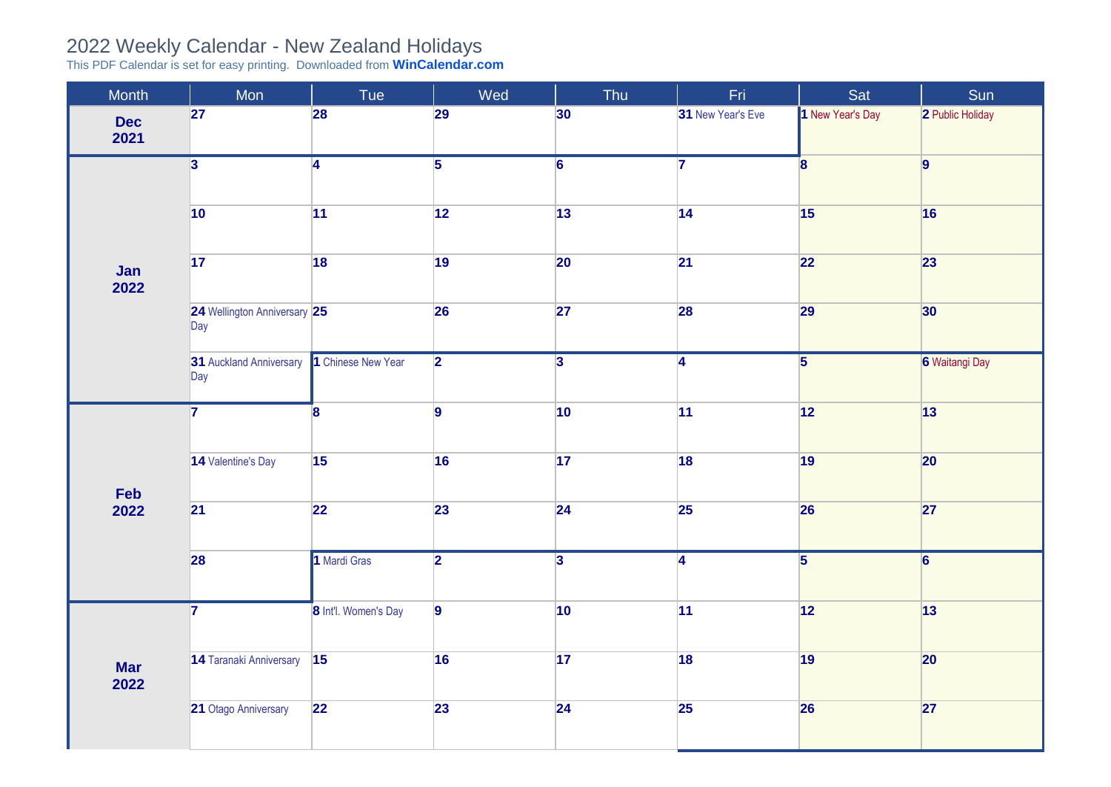## 2022 Weekly Calendar - New Zealand Holidays

This PDF Calendar is set for easy printing. Downloaded from **[WinCalendar.com](https://www.wincalendar.com/2022-Calendar-with-NZ-Holidays)**

| Month              | Mon                                         | Tue                  | Wed            | Thu             | Fri               | Sat                     | Sun              |
|--------------------|---------------------------------------------|----------------------|----------------|-----------------|-------------------|-------------------------|------------------|
| <b>Dec</b><br>2021 | 27                                          | 28                   | 29             | 30 <sup>°</sup> | 31 New Year's Eve | 1 New Year's Day        | 2 Public Holiday |
|                    | $\overline{3}$                              | $\overline{4}$       | $\overline{5}$ | $\overline{6}$  | 7                 | $\overline{\mathbf{8}}$ | $\overline{9}$   |
|                    | 10                                          | 11                   | 12             | 13              | 14                | 15                      | 16               |
| Jan<br>2022        | 17                                          | 18                   | 19             | 20              | 21                | 22                      | 23               |
|                    | 24 Wellington Anniversary 25<br>$\vert$ Day |                      | 26             | 27              | 28                | 29                      | 30               |
|                    | 31 Auckland Anniversary<br>$\vert$ Day      | 1 Chinese New Year   | $\overline{2}$ | $\overline{3}$  | $\overline{4}$    | $\overline{5}$          | 6 Waitangi Day   |
|                    | $\overline{7}$                              | 8                    | $\overline{9}$ | 10              | 11                | $\boxed{12}$            | 13               |
|                    | 14 Valentine's Day                          | 15                   | 16             | 17              | 18                | 19                      | 20               |
| Feb<br>2022        | 21                                          | 22                   | 23             | 24              | 25                | 26                      | 27               |
|                    | 28                                          | 1 Mardi Gras         | $\overline{2}$ | $\overline{3}$  | $\overline{4}$    | $\overline{5}$          | $\overline{6}$   |
|                    | $\overline{7}$                              | 8 Int'l. Women's Day | $\overline{9}$ | 10              | 11                | 12                      | 13               |
| <b>Mar</b><br>2022 | 14 Taranaki Anniversary                     | 15                   | 16             | 17              | 18                | 19                      | 20               |
|                    | 21 Otago Anniversary                        | 22                   | 23             | 24              | 25                | 26                      | 27               |
|                    |                                             |                      |                |                 |                   |                         |                  |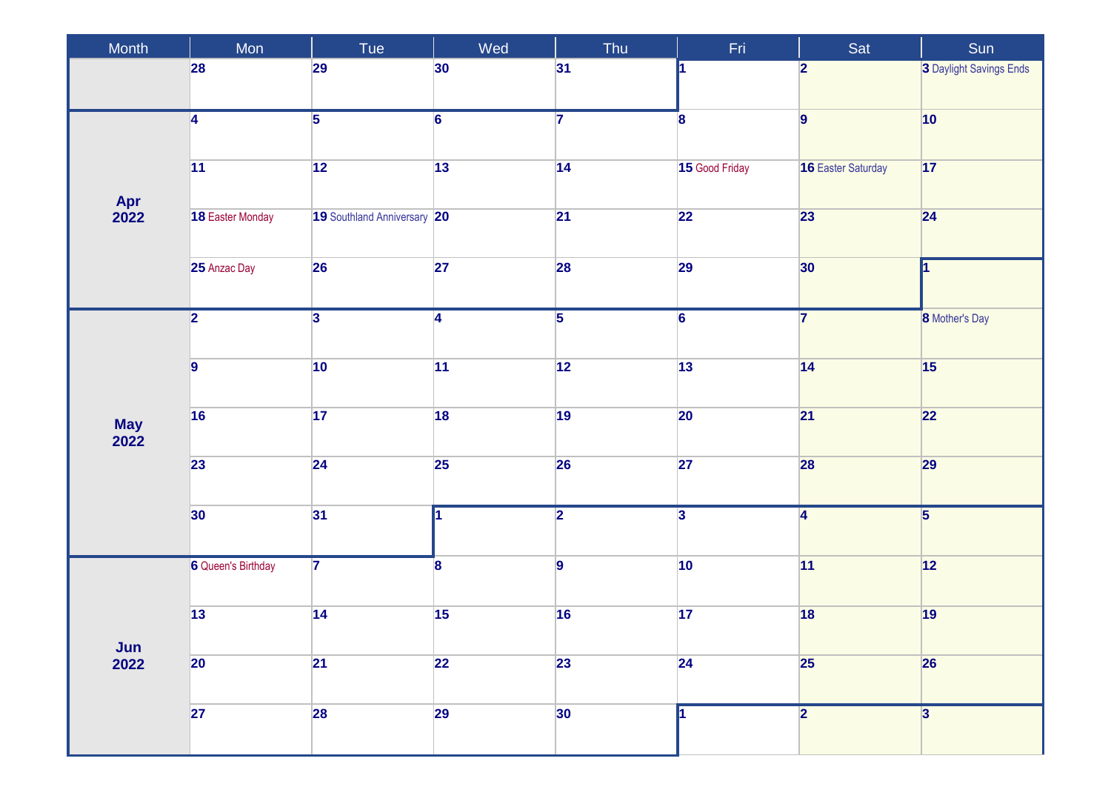| Month               | Mon                       | Tue                         | Wed                     | Thu             | Fri                     | Sat                       | Sun                     |
|---------------------|---------------------------|-----------------------------|-------------------------|-----------------|-------------------------|---------------------------|-------------------------|
|                     | 28                        | 29                          | 30                      | 31              |                         | $\overline{\mathbf{2}}$   | 3 Daylight Savings Ends |
|                     | 4                         | $\overline{5}$              | $\overline{6}$          | $\overline{7}$  | 8                       | $\overline{9}$            | 10                      |
|                     | 11                        | 12                          | 13                      | 14              | 15 Good Friday          | <b>16 Easter Saturday</b> | 17                      |
| Apr<br>2022         | 18 Easter Monday          | 19 Southland Anniversary 20 |                         | 21              | $\overline{22}$         | 23                        | 24                      |
|                     | 25 Anzac Day              | 26                          | 27                      | 28              | 29                      | 30 <sub>o</sub>           | 1                       |
|                     | $\overline{2}$            | $\overline{\mathbf{3}}$     | $\overline{4}$          | $\overline{5}$  | $\overline{6}$          | $\overline{\mathbf{7}}$   | <b>8</b> Mother's Day   |
|                     |                           |                             |                         |                 |                         |                           |                         |
|                     | $\overline{9}$            | 10                          | 11                      | $\overline{12}$ | 13                      | 14                        | 15                      |
| <b>May<br/>2022</b> | 16                        | 17                          | 18                      | 19              | 20                      | 21                        | 22                      |
|                     | 23                        | 24                          | 25                      | 26              | 27                      | 28                        | 29                      |
|                     | $ 30\rangle$              | 31                          | И.                      | $\overline{2}$  | $\overline{\mathbf{3}}$ | $\overline{4}$            | $\overline{5}$          |
|                     |                           |                             |                         |                 |                         |                           |                         |
|                     | <b>6</b> Queen's Birthday | $\overline{7}$              | $\overline{\mathbf{8}}$ | $\overline{9}$  | 10                      | 11                        | 12                      |
|                     | $\overline{13}$           | 14                          | 15                      | 16              | 17                      | 18                        | 19                      |
| Jun<br>2022         | 20                        | 21                          | 22                      | 23              | 24                      | 25                        | 26                      |
|                     | 27                        | 28                          | 29                      | 30 <sup>°</sup> |                         | $\overline{2}$            | 3                       |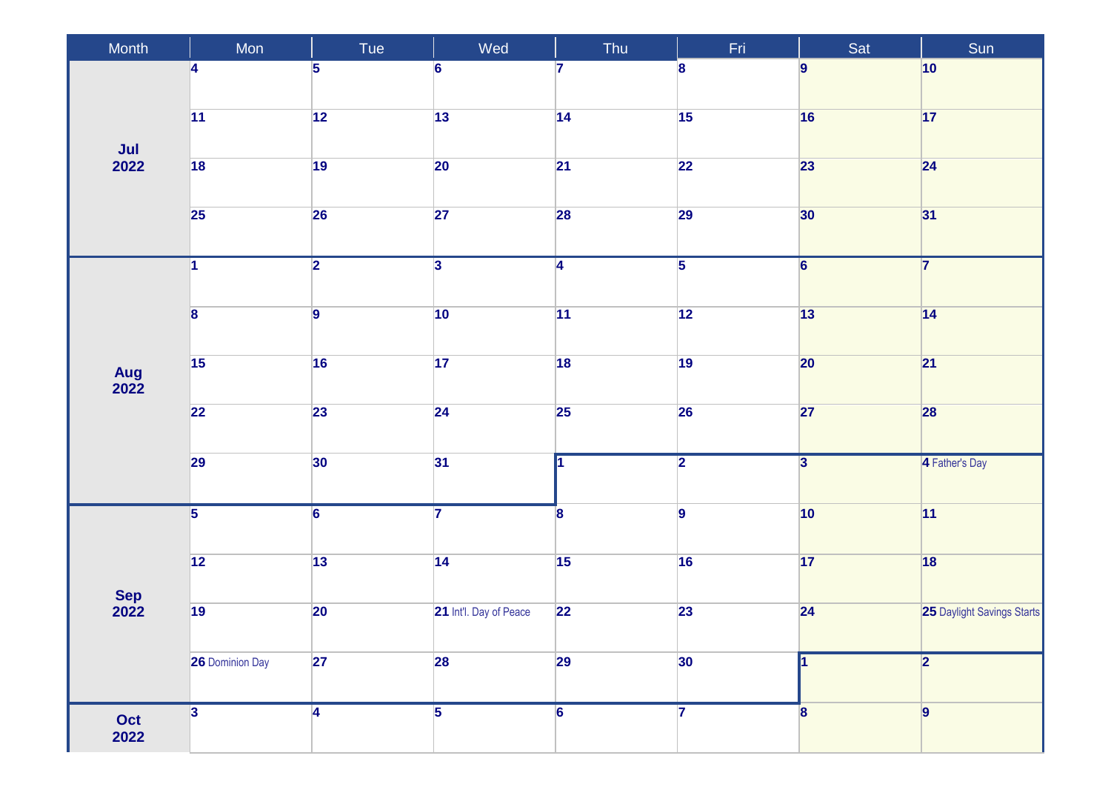| Month                       | Mon                     | Tue            | Wed                    | Thu                     | Fri                     | Sat                     | Sun                        |
|-----------------------------|-------------------------|----------------|------------------------|-------------------------|-------------------------|-------------------------|----------------------------|
|                             | 4                       | 5              | $6\phantom{a}$         | 7                       | 8                       | $\overline{9}$          | $ 10\rangle$               |
|                             | $\overline{11}$         | 12             | 13                     | $\overline{14}$         | 15                      | 16                      | 17                         |
| $\frac{\mathsf{Jul}}{2022}$ | $\overline{18}$         | 19             | 20                     | $\overline{21}$         | $\overline{22}$         | 23                      | $\overline{24}$            |
|                             | <b>25</b>               | 26             | 27                     | 28                      | 29                      | 30                      | 31                         |
|                             | $\overline{1}$          | $\overline{2}$ | $\overline{3}$         | $\overline{4}$          | $\overline{5}$          | $\overline{6}$          | $\overline{7}$             |
|                             | $\overline{\mathbf{8}}$ | $\overline{9}$ | $ 10\rangle$           | 11                      | 12                      | 13                      | 14                         |
| Aug<br>2022                 | $\overline{15}$         | 16             | 17                     | 18                      | 19                      | 20                      | 21                         |
|                             | 22                      | 23             | 24                     | $\overline{25}$         | 26                      | $\overline{27}$         | 28                         |
|                             | 29                      | 30             | 31                     |                         | $\overline{\mathbf{2}}$ | $\overline{\mathbf{3}}$ | 4 Father's Day             |
|                             | $\overline{5}$          | $\overline{6}$ | $\overline{7}$         | $\overline{\mathbf{8}}$ | $\vert$ 9               | 10                      | 11                         |
|                             | $\boxed{12}$            | 13             | 14                     | 15                      | 16                      | 17                      | 18                         |
| Sep<br>2022                 | 19                      | 20             | 21 Int'l. Day of Peace | 22                      | 23                      | 24                      | 25 Daylight Savings Starts |
|                             | <b>26 Dominion Day</b>  | 27             | 28                     | 29                      | 30                      |                         | 2                          |
| Oct<br>2022                 | $ 3\rangle$             | $\overline{4}$ | $\overline{5}$         | $6\overline{6}$         | $\overline{7}$          | 8                       | 9                          |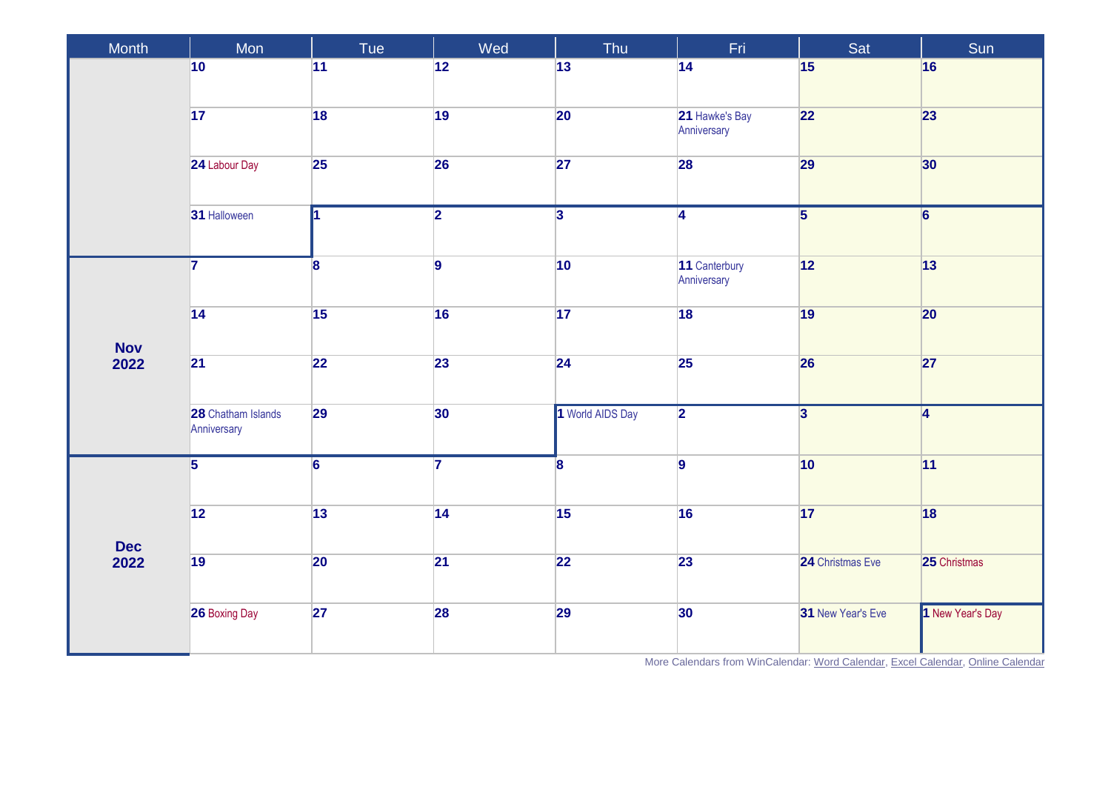| Month      | $M$ on                            | Tue            | Wed             | Thu                     | Fri                           | Sat                     | Sun              |
|------------|-----------------------------------|----------------|-----------------|-------------------------|-------------------------------|-------------------------|------------------|
|            | 10                                | 11             | 12              | 13                      | 14                            | 15                      | 16               |
|            | 17                                | 18             | 19              | 20                      | 21 Hawke's Bay<br>Anniversary | 22                      | 23               |
|            | 24 Labour Day                     | 25             | 26              | 27                      | 28                            | 29                      | 30               |
|            | 31 Halloween                      | 11             | $\overline{2}$  | $\overline{\mathbf{3}}$ | $\overline{4}$                | $\overline{\mathbf{5}}$ | $\overline{6}$   |
|            | $\overline{7}$                    | 8              | $\overline{9}$  | 10                      | 11 Canterbury<br>Anniversary  | 12                      | 13               |
| <b>Nov</b> | 14                                | 15             | 16              | 17                      | 18                            | 19                      | 20               |
| 2022       | 21                                | 22             | 23              | 24                      | 25                            | 26                      | 27               |
|            | 28 Chatham Islands<br>Anniversary | 29             | 30              | 1 World AIDS Day        | $\overline{2}$                | $\overline{\mathbf{3}}$ | $\overline{4}$   |
|            | $\overline{5}$                    | $\overline{6}$ | $\overline{7}$  | $\overline{\mathbf{8}}$ | $\vert$ 9                     | 10                      | 11               |
| <b>Dec</b> | 12                                | 13             | $\overline{14}$ | $\overline{15}$         | 16                            | 17                      | 18               |
| 2022       | 19                                | 20             | $\overline{21}$ | 22                      | 23                            | 24 Christmas Eve        | 25 Christmas     |
|            | <b>26 Boxing Day</b>              | 27             | <b>28</b>       | 29                      | 30 <sub>o</sub>               | 31 New Year's Eve       | 1 New Year's Day |

More Calendars from WinCalendar[: Word Calendar,](https://www.wincalendar.com/2022-Calendar-with-NZ-Holidays) [Excel Calendar,](https://www.wincalendar.com/2022-Calendar-NZ-Holidays-Excel) [Online Calendar](https://www.wincalendar.com/Calendar-NZ)